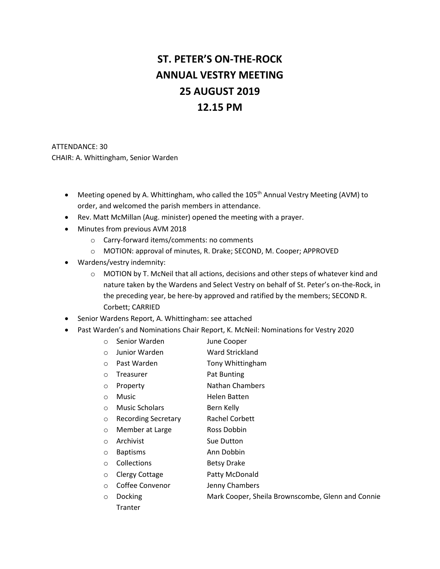# **ST. PETER'S ON-THE-ROCK ANNUAL VESTRY MEETING 25 AUGUST 2019 12.15 PM**

ATTENDANCE: 30 CHAIR: A. Whittingham, Senior Warden

- Meeting opened by A. Whittingham, who called the 105<sup>th</sup> Annual Vestry Meeting (AVM) to order, and welcomed the parish members in attendance.
- Rev. Matt McMillan (Aug. minister) opened the meeting with a prayer.
- Minutes from previous AVM 2018
	- o Carry-forward items/comments: no comments
	- o MOTION: approval of minutes, R. Drake; SECOND, M. Cooper; APPROVED
- Wardens/vestry indemnity:
	- $\circ$  MOTION by T. McNeil that all actions, decisions and other steps of whatever kind and nature taken by the Wardens and Select Vestry on behalf of St. Peter's on-the-Rock, in the preceding year, be here-by approved and ratified by the members; SECOND R. Corbett; CARRIED
- Senior Wardens Report, A. Whittingham: see attached
- Past Warden's and Nominations Chair Report, K. McNeil: Nominations for Vestry 2020

| O       | Senior Warden         | June Cooper                            |
|---------|-----------------------|----------------------------------------|
| $\circ$ | Junior Warden         | Ward Strickland                        |
| $\circ$ | Past Warden           | Tony Whittingham                       |
| $\circ$ | Treasurer             | Pat Bunting                            |
| O       | Property              | <b>Nathan Chambers</b>                 |
| $\circ$ | <b>Music</b>          | Helen Batten                           |
| $\circ$ | <b>Music Scholars</b> | Bern Kelly                             |
| $\circ$ | Recording Secretary   | Rachel Corbett                         |
| $\circ$ | Member at Large       | Ross Dobbin                            |
| $\circ$ | Archivist             | Sue Dutton                             |
| $\circ$ | <b>Baptisms</b>       | Ann Dobbin                             |
| $\circ$ | Collections           | <b>Betsy Drake</b>                     |
| $\circ$ | Clergy Cottage        | Patty McDonald                         |
| $\circ$ | Coffee Convenor       | Jenny Chambers                         |
| O       | <b>Docking</b>        | Mark Cooper, Sheila Brownscombe, Glenn |
|         | Tranter               |                                        |

and Connie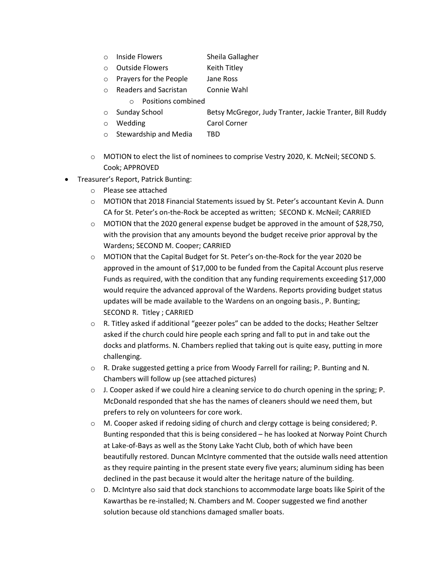- o Inside Flowers Sheila Gallagher
- o Outside Flowers Keith Titley
- o Prayers for the People Jane Ross
- o Readers and Sacristan Connie Wahl
	- o Positions combined
- o Sunday School Betsy McGregor, Judy Tranter, Jackie Tranter, Bill Ruddy
- o Wedding Carol Corner
- o Stewardship and Media TBD
- o MOTION to elect the list of nominees to comprise Vestry 2020, K. McNeil; SECOND S. Cook; APPROVED
- Treasurer's Report, Patrick Bunting:
	- o Please see attached
	- o MOTION that 2018 Financial Statements issued by St. Peter's accountant Kevin A. Dunn CA for St. Peter's on-the-Rock be accepted as written; SECOND K. McNeil; CARRIED
	- $\circ$  MOTION that the 2020 general expense budget be approved in the amount of \$28,750, with the provision that any amounts beyond the budget receive prior approval by the Wardens; SECOND M. Cooper; CARRIED
	- o MOTION that the Capital Budget for St. Peter's on-the-Rock for the year 2020 be approved in the amount of \$17,000 to be funded from the Capital Account plus reserve Funds as required, with the condition that any funding requirements exceeding \$17,000 would require the advanced approval of the Wardens. Reports providing budget status updates will be made available to the Wardens on an ongoing basis., P. Bunting; SECOND R. Titley ; CARRIED
	- o R. Titley asked if additional "geezer poles" can be added to the docks; Heather Seltzer asked if the church could hire people each spring and fall to put in and take out the docks and platforms. N. Chambers replied that taking out is quite easy, putting in more challenging.
	- $\circ$  R. Drake suggested getting a price from Woody Farrell for railing; P. Bunting and N. Chambers will follow up (see attached pictures)
	- $\circ$  J. Cooper asked if we could hire a cleaning service to do church opening in the spring; P. McDonald responded that she has the names of cleaners should we need them, but prefers to rely on volunteers for core work.
	- o M. Cooper asked if redoing siding of church and clergy cottage is being considered; P. Bunting responded that this is being considered – he has looked at Norway Point Church at Lake-of-Bays as well as the Stony Lake Yacht Club, both of which have been beautifully restored. Duncan McIntyre commented that the outside walls need attention as they require painting in the present state every five years; aluminum siding has been declined in the past because it would alter the heritage nature of the building.
	- o D. McIntyre also said that dock stanchions to accommodate large boats like Spirit of the Kawarthas be re-installed; N. Chambers and M. Cooper suggested we find another solution because old stanchions damaged smaller boats.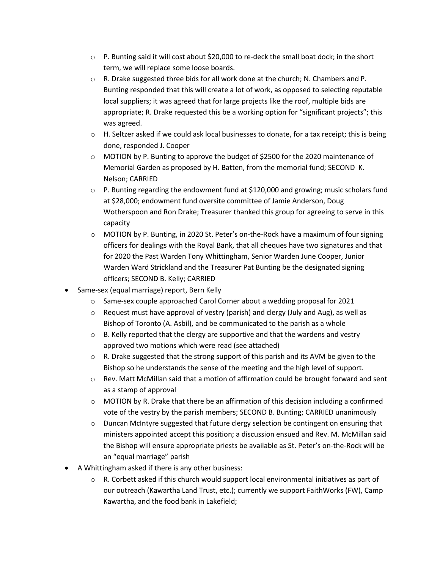- $\circ$  P. Bunting said it will cost about \$20,000 to re-deck the small boat dock; in the short term, we will replace some loose boards.
- o R. Drake suggested three bids for all work done at the church; N. Chambers and P. Bunting responded that this will create a lot of work, as opposed to selecting reputable local suppliers; it was agreed that for large projects like the roof, multiple bids are appropriate; R. Drake requested this be a working option for "significant projects"; this was agreed.
- $\circ$  H. Seltzer asked if we could ask local businesses to donate, for a tax receipt; this is being done, responded J. Cooper
- $\circ$  MOTION by P. Bunting to approve the budget of \$2500 for the 2020 maintenance of Memorial Garden as proposed by H. Batten, from the memorial fund; SECOND K. Nelson; CARRIED
- $\circ$  P. Bunting regarding the endowment fund at \$120,000 and growing; music scholars fund at \$28,000; endowment fund oversite committee of Jamie Anderson, Doug Wotherspoon and Ron Drake; Treasurer thanked this group for agreeing to serve in this capacity
- $\circ$  MOTION by P. Bunting, in 2020 St. Peter's on-the-Rock have a maximum of four signing officers for dealings with the Royal Bank, that all cheques have two signatures and that for 2020 the Past Warden Tony Whittingham, Senior Warden June Cooper, Junior Warden Ward Strickland and the Treasurer Pat Bunting be the designated signing officers; SECOND B. Kelly; CARRIED
- Same-sex (equal marriage) report, Bern Kelly
	- $\circ$  Same-sex couple approached Carol Corner about a wedding proposal for 2021
	- $\circ$  Request must have approval of vestry (parish) and clergy (July and Aug), as well as Bishop of Toronto (A. Asbil), and be communicated to the parish as a whole
	- $\circ$  B. Kelly reported that the clergy are supportive and that the wardens and vestry approved two motions which were read (see attached)
	- $\circ$  R. Drake suggested that the strong support of this parish and its AVM be given to the Bishop so he understands the sense of the meeting and the high level of support.
	- o Rev. Matt McMillan said that a motion of affirmation could be brought forward and sent as a stamp of approval
	- $\circ$  MOTION by R. Drake that there be an affirmation of this decision including a confirmed vote of the vestry by the parish members; SECOND B. Bunting; CARRIED unanimously
	- o Duncan McIntyre suggested that future clergy selection be contingent on ensuring that ministers appointed accept this position; a discussion ensued and Rev. M. McMillan said the Bishop will ensure appropriate priests be available as St. Peter's on-the-Rock will be an "equal marriage" parish
- A Whittingham asked if there is any other business:
	- $\circ$  R. Corbett asked if this church would support local environmental initiatives as part of our outreach (Kawartha Land Trust, etc.); currently we support FaithWorks (FW), Camp Kawartha, and the food bank in Lakefield;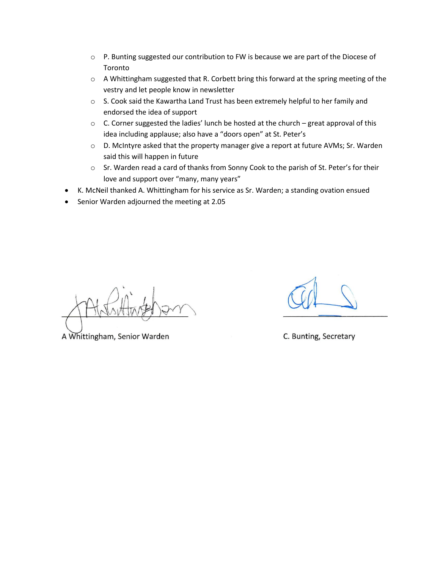- $\circ$  P. Bunting suggested our contribution to FW is because we are part of the Diocese of Toronto
- o A Whittingham suggested that R. Corbett bring this forward at the spring meeting of the vestry and let people know in newsletter
- $\circ$  S. Cook said the Kawartha Land Trust has been extremely helpful to her family and endorsed the idea of support
- $\circ$  C. Corner suggested the ladies' lunch be hosted at the church great approval of this idea including applause; also have a "doors open" at St. Peter's
- o D. McIntyre asked that the property manager give a report at future AVMs; Sr. Warden said this will happen in future
- o Sr. Warden read a card of thanks from Sonny Cook to the parish of St. Peter's for their love and support over "many, many years"
- K. McNeil thanked A. Whittingham for his service as Sr. Warden; a standing ovation ensued
- Senior Warden adjourned the meeting at 2.05

A Whittingham, Senior Warden

C. Bunting, Secretary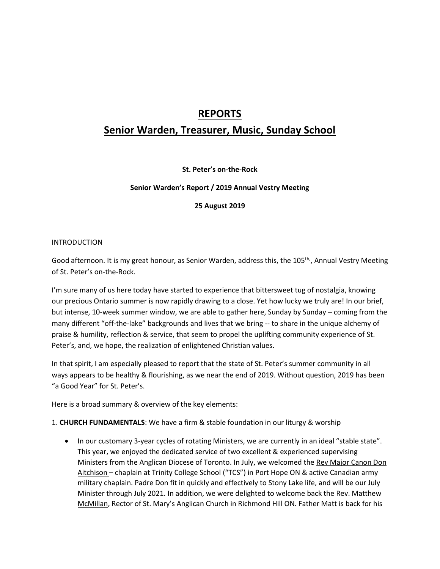# **REPORTS**

# **Senior Warden, Treasurer, Music, Sunday School**

**St. Peter's on-the-Rock**

#### **Senior Warden's Report / 2019 Annual Vestry Meeting**

**25 August 2019**

#### INTRODUCTION

Good afternoon. It is my great honour, as Senior Warden, address this, the 105<sup>th,</sup>, Annual Vestry Meeting of St. Peter's on-the-Rock.

I'm sure many of us here today have started to experience that bittersweet tug of nostalgia, knowing our precious Ontario summer is now rapidly drawing to a close. Yet how lucky we truly are! In our brief, but intense, 10-week summer window, we are able to gather here, Sunday by Sunday – coming from the many different "off-the-lake" backgrounds and lives that we bring -- to share in the unique alchemy of praise & humility, reflection & service, that seem to propel the uplifting community experience of St. Peter's, and, we hope, the realization of enlightened Christian values.

In that spirit, I am especially pleased to report that the state of St. Peter's summer community in all ways appears to be healthy & flourishing, as we near the end of 2019. Without question, 2019 has been "a Good Year" for St. Peter's.

#### Here is a broad summary & overview of the key elements:

#### 1. **CHURCH FUNDAMENTALS**: We have a firm & stable foundation in our liturgy & worship

• In our customary 3-year cycles of rotating Ministers, we are currently in an ideal "stable state". This year, we enjoyed the dedicated service of two excellent & experienced supervising Ministers from the Anglican Diocese of Toronto. In July, we welcomed the Rev Major Canon Don Aitchison – chaplain at Trinity College School ("TCS") in Port Hope ON & active Canadian army military chaplain. Padre Don fit in quickly and effectively to Stony Lake life, and will be our July Minister through July 2021. In addition, we were delighted to welcome back the Rev. Matthew McMillan, Rector of St. Mary's Anglican Church in Richmond Hill ON. Father Matt is back for his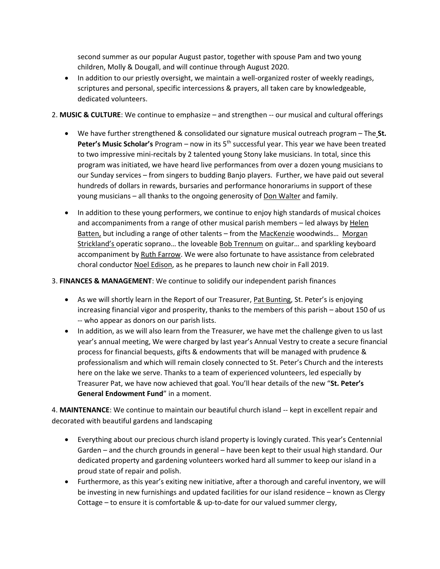second summer as our popular August pastor, together with spouse Pam and two young children, Molly & Dougall, and will continue through August 2020.

- In addition to our priestly oversight, we maintain a well-organized roster of weekly readings, scriptures and personal, specific intercessions & prayers, all taken care by knowledgeable, dedicated volunteers.
- 2. **MUSIC & CULTURE**: We continue to emphasize and strengthen -- our musical and cultural offerings
	- We have further strengthened & consolidated our signature musical outreach program The **St. Peter's Music Scholar's** Program – now in its 5th successful year. This year we have been treated to two impressive mini-recitals by 2 talented young Stony lake musicians. In total, since this program was initiated, we have heard live performances from over a dozen young musicians to our Sunday services – from singers to budding Banjo players. Further, we have paid out several hundreds of dollars in rewards, bursaries and performance honorariums in support of these young musicians – all thanks to the ongoing generosity of Don Walter and family.
	- In addition to these young performers, we continue to enjoy high standards of musical choices and accompaniments from a range of other musical parish members – led always by Helen Batten, but including a range of other talents – from the MacKenzie woodwinds... Morgan Strickland's operatic soprano… the loveable Bob Trennum on guitar… and sparkling keyboard accompaniment by Ruth Farrow. We were also fortunate to have assistance from celebrated choral conductor Noel Edison, as he prepares to launch new choir in Fall 2019.
- 3. **FINANCES & MANAGEMENT**: We continue to solidify our independent parish finances
	- As we will shortly learn in the Report of our Treasurer, Pat Bunting, St. Peter's is enjoying increasing financial vigor and prosperity, thanks to the members of this parish – about 150 of us -- who appear as donors on our parish lists.
	- In addition, as we will also learn from the Treasurer, we have met the challenge given to us last year's annual meeting, We were charged by last year's Annual Vestry to create a secure financial process for financial bequests, gifts & endowments that will be managed with prudence & professionalism and which will remain closely connected to St. Peter's Church and the interests here on the lake we serve. Thanks to a team of experienced volunteers, led especially by Treasurer Pat, we have now achieved that goal. You'll hear details of the new "**St. Peter's General Endowment Fund**" in a moment.

4. **MAINTENANCE**: We continue to maintain our beautiful church island -- kept in excellent repair and decorated with beautiful gardens and landscaping

- Everything about our precious church island property is lovingly curated. This year's Centennial Garden – and the church grounds in general – have been kept to their usual high standard. Our dedicated property and gardening volunteers worked hard all summer to keep our island in a proud state of repair and polish.
- Furthermore, as this year's exiting new initiative, after a thorough and careful inventory, we will be investing in new furnishings and updated facilities for our island residence – known as Clergy Cottage – to ensure it is comfortable & up-to-date for our valued summer clergy,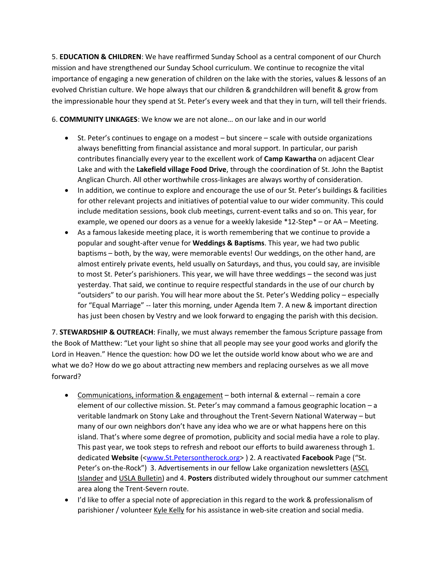5. **EDUCATION & CHILDREN**: We have reaffirmed Sunday School as a central component of our Church mission and have strengthened our Sunday School curriculum. We continue to recognize the vital importance of engaging a new generation of children on the lake with the stories, values & lessons of an evolved Christian culture. We hope always that our children & grandchildren will benefit & grow from the impressionable hour they spend at St. Peter's every week and that they in turn, will tell their friends.

6. **COMMUNITY LINKAGES**: We know we are not alone… on our lake and in our world

- St. Peter's continues to engage on a modest but sincere scale with outside organizations always benefitting from financial assistance and moral support. In particular, our parish contributes financially every year to the excellent work of **Camp Kawartha** on adjacent Clear Lake and with the **Lakefield village Food Drive**, through the coordination of St. John the Baptist Anglican Church. All other worthwhile cross-linkages are always worthy of consideration.
- In addition, we continue to explore and encourage the use of our St. Peter's buildings & facilities for other relevant projects and initiatives of potential value to our wider community. This could include meditation sessions, book club meetings, current-event talks and so on. This year, for example, we opened our doors as a venue for a weekly lakeside \*12-Step\* – or AA – Meeting.
- As a famous lakeside meeting place, it is worth remembering that we continue to provide a popular and sought-after venue for **Weddings & Baptisms**. This year, we had two public baptisms – both, by the way, were memorable events! Our weddings, on the other hand, are almost entirely private events, held usually on Saturdays, and thus, you could say, are invisible to most St. Peter's parishioners. This year, we will have three weddings – the second was just yesterday. That said, we continue to require respectful standards in the use of our church by "outsiders" to our parish. You will hear more about the St. Peter's Wedding policy – especially for "Equal Marriage" -- later this morning, under Agenda Item 7. A new & important direction has just been chosen by Vestry and we look forward to engaging the parish with this decision.

7. **STEWARDSHIP & OUTREACH**: Finally, we must always remember the famous Scripture passage from the Book of Matthew: "Let your light so shine that all people may see your good works and glorify the Lord in Heaven." Hence the question: how DO we let the outside world know about who we are and what we do? How do we go about attracting new members and replacing ourselves as we all move forward?

- Communications, information & engagement both internal & external -- remain a core element of our collective mission. St. Peter's may command a famous geographic location – a veritable landmark on Stony Lake and throughout the Trent-Severn National Waterway – but many of our own neighbors don't have any idea who we are or what happens here on this island. That's where some degree of promotion, publicity and social media have a role to play. This past year, we took steps to refresh and reboot our efforts to build awareness through 1. dedicated **Website** ([<www.St.Petersontherock.org>](http://www.st.petersontherock.org/) ) 2. A reactivated **Facebook** Page ("St. Peter's on-the-Rock") 3. Advertisements in our fellow Lake organization newsletters (ASCL Islander and USLA Bulletin) and 4. **Posters** distributed widely throughout our summer catchment area along the Trent-Severn route.
- I'd like to offer a special note of appreciation in this regard to the work & professionalism of parishioner / volunteer Kyle Kelly for his assistance in web-site creation and social media.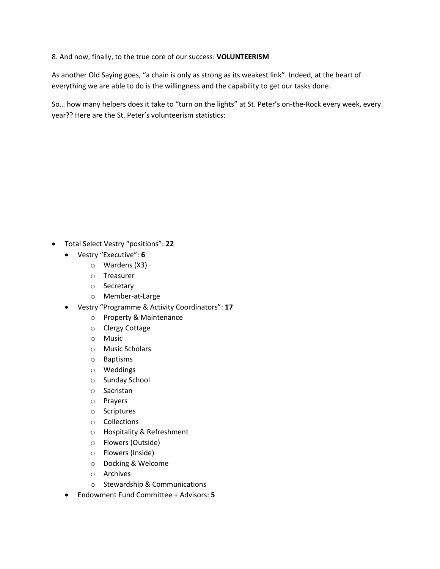#### 8. And now, finally, to the true core of our success: **VOLUNTEERISM**

As another Old Saying goes, "a chain is only as strong as its weakest link". Indeed, at the heart of everything we are able to do is the willingness and the capability to get our tasks done.

So… how many helpers does it take to "turn on the lights" at St. Peter's on-the-Rock every week, every year?? Here are the St. Peter's volunteerism statistics:

- Total Select Vestry "positions": **22**
	- Vestry "Executive": **6**
		- o Wardens (X3)
		- o Treasurer
		- o Secretary
		- o Member-at-Large
	- Vestry "Programme & Activity Coordinators": **17**
		- o Property & Maintenance
		- o Clergy Cottage
		- o Music
		- o Music Scholars
		- o Baptisms
		- o Weddings
		- o Sunday School
		- o Sacristan
		- o Prayers
		- o Scriptures
		- o Collections
		- o Hospitality & Refreshment
		- o Flowers (Outside)
		- o Flowers (Inside)
		- o Docking & Welcome
		- o Archives
		- o Stewardship & Communications
	- Endowment Fund Committee + Advisors: **5**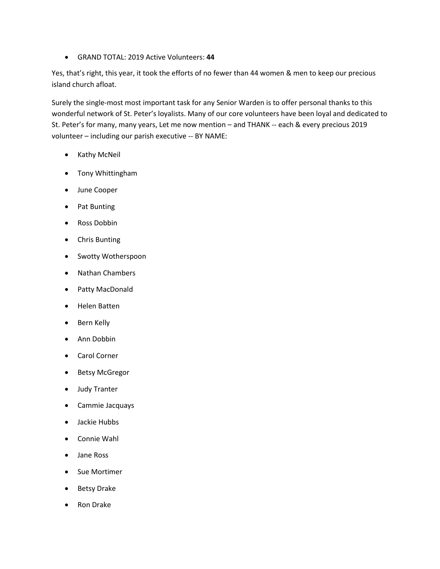• GRAND TOTAL: 2019 Active Volunteers: **44**

Yes, that's right, this year, it took the efforts of no fewer than 44 women & men to keep our precious island church afloat.

Surely the single-most most important task for any Senior Warden is to offer personal thanks to this wonderful network of St. Peter's loyalists. Many of our core volunteers have been loyal and dedicated to St. Peter's for many, many years, Let me now mention – and THANK -- each & every precious 2019 volunteer – including our parish executive -- BY NAME:

- Kathy McNeil
- Tony Whittingham
- June Cooper
- Pat Bunting
- Ross Dobbin
- Chris Bunting
- Swotty Wotherspoon
- Nathan Chambers
- Patty MacDonald
- Helen Batten
- Bern Kelly
- Ann Dobbin
- Carol Corner
- Betsy McGregor
- Judy Tranter
- Cammie Jacquays
- Jackie Hubbs
- Connie Wahl
- Jane Ross
- Sue Mortimer
- Betsy Drake
- Ron Drake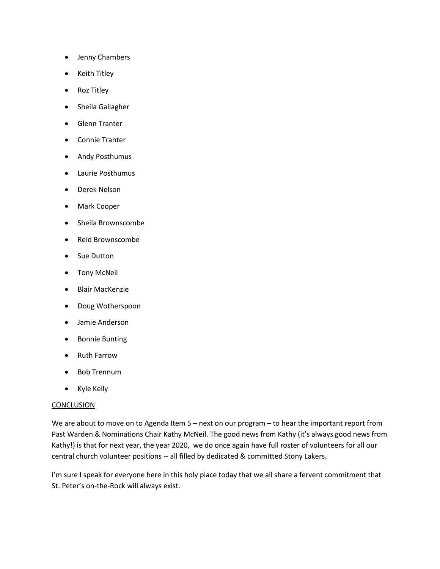- Jenny Chambers
- Keith Titley
- Roz Titley
- Sheila Gallagher
- Glenn Tranter
- Connie Tranter
- Andy Posthumus
- Laurie Posthumus
- Derek Nelson
- Mark Cooper
- Sheila Brownscombe
- Reid Brownscombe
- Sue Dutton
- Tony McNeil
- Blair MacKenzie
- Doug Wotherspoon
- Jamie Anderson
- Bonnie Bunting
- Ruth Farrow
- Bob Trennum
- Kyle Kelly

#### **CONCLUSION**

We are about to move on to Agenda Item 5 – next on our program – to hear the important report from Past Warden & Nominations Chair Kathy McNeil. The good news from Kathy (it's always good news from Kathy!) is that for next year, the year 2020, we do once again have full roster of volunteers for all our central church volunteer positions -- all filled by dedicated & committed Stony Lakers.

I'm sure I speak for everyone here in this holy place today that we all share a fervent commitment that St. Peter's on-the-Rock will always exist.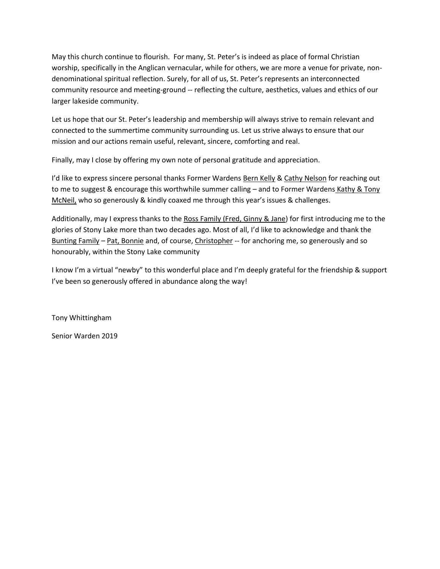May this church continue to flourish. For many, St. Peter's is indeed as place of formal Christian worship, specifically in the Anglican vernacular, while for others, we are more a venue for private, nondenominational spiritual reflection. Surely, for all of us, St. Peter's represents an interconnected community resource and meeting-ground -- reflecting the culture, aesthetics, values and ethics of our larger lakeside community.

Let us hope that our St. Peter's leadership and membership will always strive to remain relevant and connected to the summertime community surrounding us. Let us strive always to ensure that our mission and our actions remain useful, relevant, sincere, comforting and real.

Finally, may I close by offering my own note of personal gratitude and appreciation.

I'd like to express sincere personal thanks Former Wardens Bern Kelly & Cathy Nelson for reaching out to me to suggest & encourage this worthwhile summer calling - and to Former Wardens Kathy & Tony McNeil, who so generously & kindly coaxed me through this year's issues & challenges.

Additionally, may I express thanks to the Ross Family (Fred, Ginny & Jane) for first introducing me to the glories of Stony Lake more than two decades ago. Most of all, I'd like to acknowledge and thank the Bunting Family – Pat, Bonnie and, of course, Christopher -- for anchoring me, so generously and so honourably, within the Stony Lake community

I know I'm a virtual "newby" to this wonderful place and I'm deeply grateful for the friendship & support I've been so generously offered in abundance along the way!

Tony Whittingham

Senior Warden 2019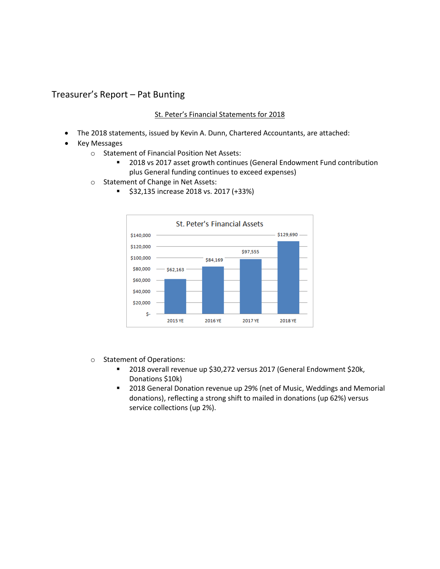# Treasurer's Report – Pat Bunting

#### St. Peter's Financial Statements for 2018

- The 2018 statements, issued by Kevin A. Dunn, Chartered Accountants, are attached:
- Key Messages
	- o Statement of Financial Position Net Assets:
		- 2018 vs 2017 asset growth continues (General Endowment Fund contribution plus General funding continues to exceed expenses)
	- o Statement of Change in Net Assets:
		- **St. Peter's Financial Assets** \$129,690 \$140,000 \$120,000 \$97,555 \$100,000 \$84,169 \$80,000  $-$ \$62,163 \$60,000 \$40,000 \$20,000 \$-2015 YE 2016 YE 2017 YE 2018 YE
		- \$32,135 increase 2018 vs. 2017 (+33%)

- o Statement of Operations:
	- 2018 overall revenue up \$30,272 versus 2017 (General Endowment \$20k, Donations \$10k)
	- 2018 General Donation revenue up 29% (net of Music, Weddings and Memorial donations), reflecting a strong shift to mailed in donations (up 62%) versus service collections (up 2%).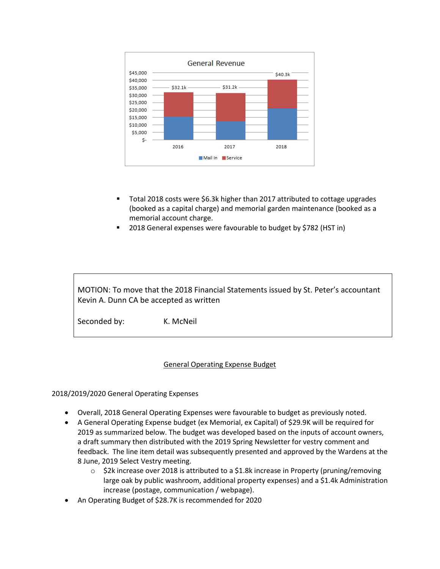

- Total 2018 costs were \$6.3k higher than 2017 attributed to cottage upgrades (booked as a capital charge) and memorial garden maintenance (booked as a memorial account charge.
- 2018 General expenses were favourable to budget by \$782 (HST in)

MOTION: To move that the 2018 Financial Statements issued by St. Peter's accountant Kevin A. Dunn CA be accepted as written

Seconded by: K. McNeil

#### General Operating Expense Budget

2018/2019/2020 General Operating Expenses

- Overall, 2018 General Operating Expenses were favourable to budget as previously noted.
- A General Operating Expense budget (ex Memorial, ex Capital) of \$29.9K will be required for 2019 as summarized below. The budget was developed based on the inputs of account owners, a draft summary then distributed with the 2019 Spring Newsletter for vestry comment and feedback. The line item detail was subsequently presented and approved by the Wardens at the 8 June, 2019 Select Vestry meeting.
	- $\circ$  \$2k increase over 2018 is attributed to a \$1.8k increase in Property (pruning/removing large oak by public washroom, additional property expenses) and a \$1.4k Administration increase (postage, communication / webpage).
- An Operating Budget of \$28.7K is recommended for 2020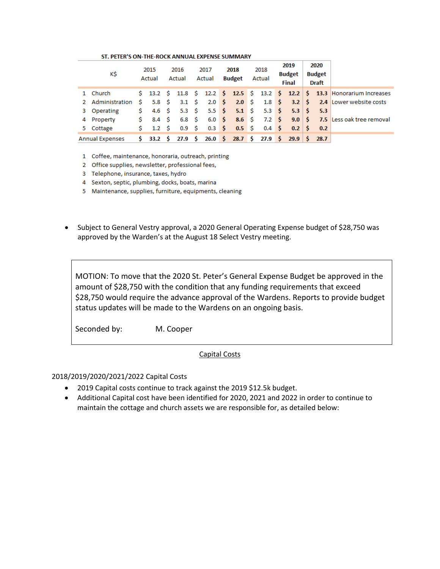#### ST. PETER'S ON-THE-ROCK ANNUAL EXPENSE SUMMARY

| K\$             | 2015<br>Actual | 2016<br>Actual                                                                                                                                                                                                                                                                                                                                                                                                                                                                                                                                       | 2017<br>Actual | 2018<br>Budget | 2018<br>Actual | 2019<br><b>Budget</b><br>Final | 2020<br><b>Budget</b><br><b>Draft</b> |                                                                                                                              |
|-----------------|----------------|------------------------------------------------------------------------------------------------------------------------------------------------------------------------------------------------------------------------------------------------------------------------------------------------------------------------------------------------------------------------------------------------------------------------------------------------------------------------------------------------------------------------------------------------------|----------------|----------------|----------------|--------------------------------|---------------------------------------|------------------------------------------------------------------------------------------------------------------------------|
| 1 Church        |                |                                                                                                                                                                                                                                                                                                                                                                                                                                                                                                                                                      |                |                |                |                                |                                       | \$ 13.2 \$ 11.8 \$ 12.2 \$ 12.5 \$ 13.2 \$ 12.2   \$ 13.3 Honorarium Increases                                               |
|                 |                |                                                                                                                                                                                                                                                                                                                                                                                                                                                                                                                                                      |                |                |                |                                |                                       | 2 Administration $\sin 5.8$ $\sin 5.8$ $\sin 3.1$ $\sin 2.0$ $\sin 2.8$ $\sin 3.2$ $\sin 3.2$ $\sin 3.2$ Lower website costs |
| 3 Operating     |                | $\begin{array}{ccccccccc} \text{\textsterling}\xspace & 4.6 & \text{\textsterling}\xspace & 5.3 & \text{\textsterling}\xspace & 5.3 & \text{\textsterling}\xspace & 5.5 & \text{\textsterling}\xspace & 5.5 & \text{\textsterling}\xspace & 5.3 & \text{\textsterling}\xspace & 5.3 & \text{\textsterling}\xspace & 5.3 & \text{\textsterling}\xspace & 5.3 & \text{\textsterling}\xspace & 5.3 & \text{\textsterling}\xspace & 5.3 & \text{\textsterling}\xspace & 5.3 & \text{\textsterling}\xspace & 5.3 & \text{\textsterling}\xspace & 5.3 & \$ |                |                |                |                                |                                       |                                                                                                                              |
| 4 Property      |                |                                                                                                                                                                                                                                                                                                                                                                                                                                                                                                                                                      |                |                |                |                                |                                       | $$8.4 \t$ 6.8 \t$ 6.0 \t$ 8.6 \t$ 7.2 \t$ 9.0 \t$ 7.5 less oak tree removal$                                                 |
| 5 Cottage       |                |                                                                                                                                                                                                                                                                                                                                                                                                                                                                                                                                                      |                |                |                |                                |                                       |                                                                                                                              |
| Annual Expenses |                | $\frac{1}{5}$ 33.2 $\frac{1}{5}$ 27.9 $\frac{1}{5}$ 26.0 $\frac{1}{5}$ 28.7 $\frac{1}{5}$ 27.9 $\frac{1}{5}$ 29.9 $\frac{1}{5}$ 28.7                                                                                                                                                                                                                                                                                                                                                                                                                 |                |                |                |                                |                                       |                                                                                                                              |

1 Coffee, maintenance, honoraria, outreach, printing

2 Office supplies, newsletter, professional fees,

3 Telephone, insurance, taxes, hydro

4 Sexton, septic, plumbing, docks, boats, marina

5 Maintenance, supplies, furniture, equipments, cleaning

• Subject to General Vestry approval, a 2020 General Operating Expense budget of \$28,750 was approved by the Warden's at the August 18 Select Vestry meeting.

MOTION: To move that the 2020 St. Peter's General Expense Budget be approved in the amount of \$28,750 with the condition that any funding requirements that exceed \$28,750 would require the advance approval of the Wardens. Reports to provide budget status updates will be made to the Wardens on an ongoing basis.

Seconded by: M. Cooper

#### Capital Costs

#### 2018/2019/2020/2021/2022 Capital Costs

- 2019 Capital costs continue to track against the 2019 \$12.5k budget.
- Additional Capital cost have been identified for 2020, 2021 and 2022 in order to continue to maintain the cottage and church assets we are responsible for, as detailed below: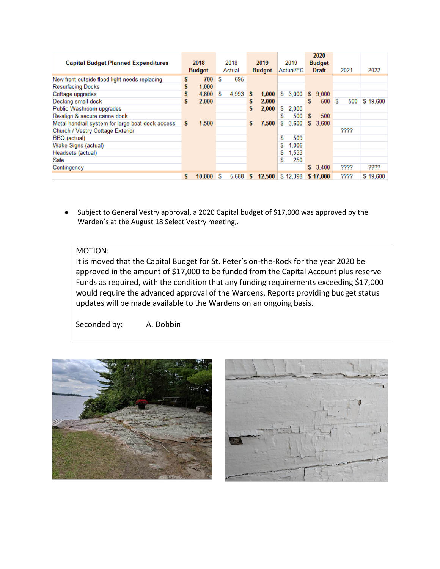| <b>Capital Budget Planned Expenditures</b>       |     | 2018<br><b>Budget</b> |   | 2018<br>Actual |   | 2019<br><b>Budget</b> |    | 2019<br>Actual/FC |    | 2020<br><b>Budget</b><br><b>Draft</b> |    | 2021 | 2022     |
|--------------------------------------------------|-----|-----------------------|---|----------------|---|-----------------------|----|-------------------|----|---------------------------------------|----|------|----------|
| New front outside flood light needs replacing    | s   | 700                   | S | 695            |   |                       |    |                   |    |                                       |    |      |          |
| <b>Resurfacing Docks</b>                         |     | 1,000                 |   |                |   |                       |    |                   |    |                                       |    |      |          |
| Cottage upgrades                                 |     | 4,800                 | S | 4.993          | s | 1,000                 | S. | 3.000             | s. | 9.000                                 |    |      |          |
| Decking small dock                               | \$  | 2,000                 |   |                | s | 2,000                 |    |                   | S  | 500                                   | ١s | 500  | \$19,600 |
| Public Washroom upgrades                         |     |                       |   |                | s | 2,000                 | S. | 2.000             |    |                                       |    |      |          |
| Re-align & secure canoe dock                     |     |                       |   |                |   |                       | S  | 500               | S  | 500                                   |    |      |          |
| Metal handrail system for large boat dock access | \$. | 1,500                 |   |                |   | 7,500                 | S. | 3,600             | s. | 3,600                                 |    |      |          |
| Church / Vestry Cottage Exterior                 |     |                       |   |                |   |                       |    |                   |    |                                       |    | ???? |          |
| BBQ (actual)                                     |     |                       |   |                |   |                       | S  | 509               |    |                                       |    |      |          |
| Wake Signs (actual)                              |     |                       |   |                |   |                       | S  | 1.006             |    |                                       |    |      |          |
| Headsets (actual)                                |     |                       |   |                |   |                       | \$ | 1,533             |    |                                       |    |      |          |
| Safe                                             |     |                       |   |                |   |                       | S  | 250               |    |                                       |    |      |          |
| Contingency                                      |     |                       |   |                |   |                       |    |                   |    | \$3,400                               |    | ???? | ????     |
|                                                  |     | 10,000                | s | 5.688          | s | 12,500                |    | \$12,398          |    | \$17,000                              |    | ???? | \$19,600 |

• Subject to General Vestry approval, a 2020 Capital budget of \$17,000 was approved by the Warden's at the August 18 Select Vestry meeting,.

## MOTION:

It is moved that the Capital Budget for St. Peter's on-the-Rock for the year 2020 be approved in the amount of \$17,000 to be funded from the Capital Account plus reserve Funds as required, with the condition that any funding requirements exceeding \$17,000 would require the advanced approval of the Wardens. Reports providing budget status updates will be made available to the Wardens on an ongoing basis.

Seconded by: A. Dobbin



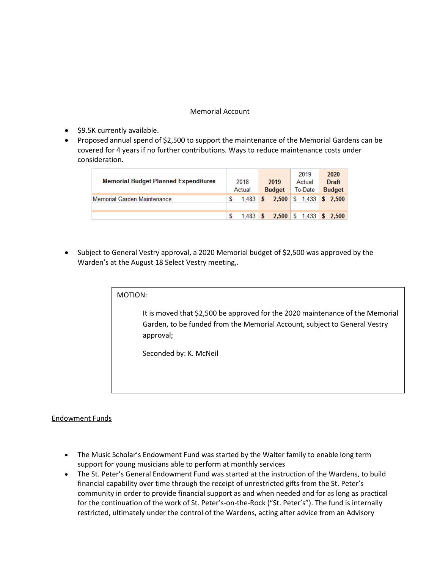#### Memorial Account

- \$9.5K currently available.
- Proposed annual spend of \$2,500 to support the maintenance of the Memorial Gardens can be covered for 4 years if no further contributions. Ways to reduce maintenance costs under consideration.

| <b>Memorial Budget Planned Expenditures</b><br>Memorial Garden Maintenance | 2018<br>Actual | 2019<br><b>Budget</b><br>1,483 \$ 2,500 \$ 1,433 \$ 2,500 | 2019<br>Actual<br>To-Date | 2020<br><b>Draft</b><br><b>Budget</b> |
|----------------------------------------------------------------------------|----------------|-----------------------------------------------------------|---------------------------|---------------------------------------|
|                                                                            |                |                                                           |                           |                                       |
|                                                                            |                | 1,483 \$ 2,500 \$ 1,433 \$ 2,500                          |                           |                                       |

• Subject to General Vestry approval, a 2020 Memorial budget of \$2,500 was approved by the Warden's at the August 18 Select Vestry meeting,.

| ΜΟΤΙΟΝ: |  |  |  |
|---------|--|--|--|
|         |  |  |  |

It is moved that \$2,500 be approved for the 2020 maintenance of the Memorial Garden, to be funded from the Memorial Account, subject to General Vestry approval;

Seconded by: K. McNeil

#### Endowment Funds

- The Music Scholar's Endowment Fund was started by the Walter family to enable long term support for young musicians able to perform at monthly services
- The St. Peter's General Endowment Fund was started at the instruction of the Wardens, to build financial capability over time through the receipt of unrestricted gifts from the St. Peter's community in order to provide financial support as and when needed and for as long as practical for the continuation of the work of St. Peter's-on-the-Rock ("St. Peter's"). The fund is internally restricted, ultimately under the control of the Wardens, acting after advice from an Advisory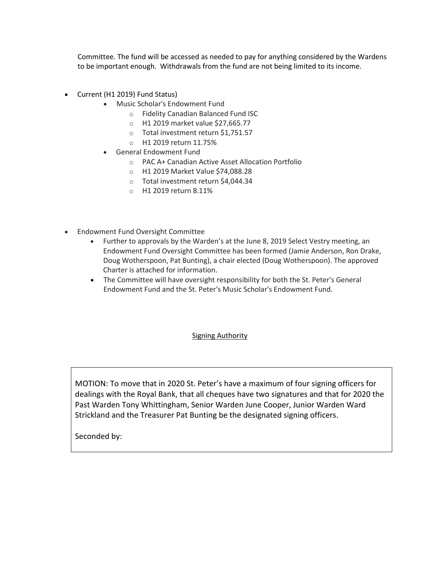Committee. The fund will be accessed as needed to pay for anything considered by the Wardens to be important enough. Withdrawals from the fund are not being limited to its income.

- Current (H1 2019) Fund Status)
	- Music Scholar's Endowment Fund
		- o Fidelity Canadian Balanced Fund ISC
		- o H1 2019 market value \$27,665.77
		- o Total investment return \$1,751.57
		- o H1 2019 return 11.75%
	- General Endowment Fund
		- o PAC A+ Canadian Active Asset Allocation Portfolio
		- o H1 2019 Market Value \$74,088.28
		- o Total investment return \$4,044.34
		- o H1 2019 return 8.11%
- Endowment Fund Oversight Committee
	- Further to approvals by the Warden's at the June 8, 2019 Select Vestry meeting, an Endowment Fund Oversight Committee has been formed (Jamie Anderson, Ron Drake, Doug Wotherspoon, Pat Bunting), a chair elected (Doug Wotherspoon). The approved Charter is attached for information.
	- The Committee will have oversight responsibility for both the St. Peter's General Endowment Fund and the St. Peter's Music Scholar's Endowment Fund.

#### **Signing Authority**

MOTION: To move that in 2020 St. Peter's have a maximum of four signing officers for dealings with the Royal Bank, that all cheques have two signatures and that for 2020 the Past Warden Tony Whittingham, Senior Warden June Cooper, Junior Warden Ward Strickland and the Treasurer Pat Bunting be the designated signing officers.

Seconded by: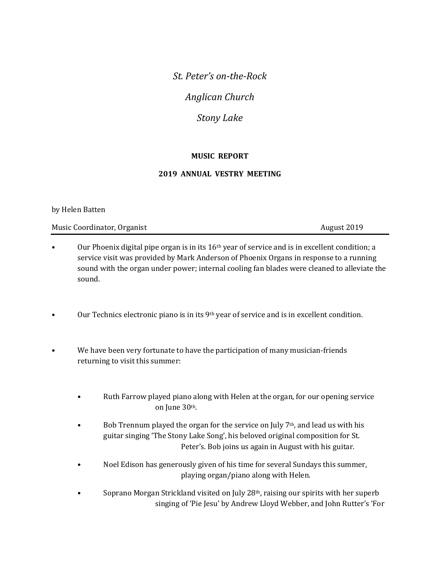*St. Peter's on-the-Rock*

*Anglican Church*

*Stony Lake*

# **MUSIC REPORT**

## **2019 ANNUAL VESTRY MEETING**

### by Helen Batten

Music Coordinator, Organist August 2019

- Our Phoenix digital pipe organ is in its  $16<sup>th</sup>$  year of service and is in excellent condition; a service visit was provided by Mark Anderson of Phoenix Organs in response to a running sound with the organ under power; internal cooling fan blades were cleaned to alleviate the sound.
- Our Technics electronic piano is in its  $9<sup>th</sup>$  year of service and is in excellent condition.
- We have been very fortunate to have the participation of many musician-friends returning to visit this summer:
	- Ruth Farrow played piano along with Helen at the organ, for our opening service on June 30th.
	- Bob Trennum played the organ for the service on July  $7<sup>th</sup>$ , and lead us with his guitar singing 'The Stony Lake Song', his beloved original composition for St. Peter's. Bob joins us again in August with his guitar.
	- Noel Edison has generously given of his time for several Sundays this summer, playing organ/piano along with Helen.
	- Soprano Morgan Strickland visited on July 28th, raising our spirits with her superb singing of 'Pie Jesu' by Andrew Lloyd Webber, and John Rutter's 'For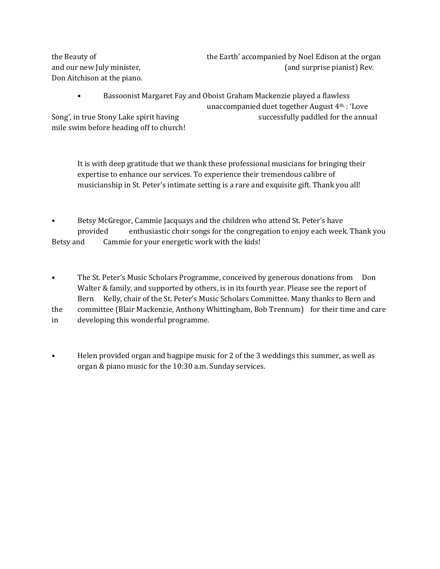the Beauty of the Earth' accompanied by Noel Edison at the organ and our new July minister,  $\qquad \qquad$  (and surprise pianist) Rev. Don Aitchison at the piano.

• Bassoonist Margaret Fay and Oboist Graham Mackenzie played a flawless unaccompanied duet together August 4th, : 'Love Song', in true Stony Lake spirit having successfully paddled for the annual mile swim before heading off to church!

It is with deep gratitude that we thank these professional musicians for bringing their expertise to enhance our services. To experience their tremendous calibre of musicianship in St. Peter's intimate setting is a rare and exquisite gift. Thank you all!

• Betsy McGregor, Cammie Jacquays and the children who attend St. Peter's have provided enthusiastic choir songs for the congregation to enjoy each week. Thank you Betsy and Cammie for your energetic work with the kids!

- The St. Peter's Music Scholars Programme, conceived by generous donations from Don Walter & family, and supported by others, is in its fourth year. Please see the report of Bern Kelly, chair of the St. Peter's Music Scholars Committee. Many thanks to Bern and the committee (Blair Mackenzie, Anthony Whittingham, Bob Trennum) for their time and care in developing this wonderful programme.
- Helen provided organ and bagpipe music for 2 of the 3 weddings this summer, as well as organ & piano music for the 10:30 a.m. Sunday services.